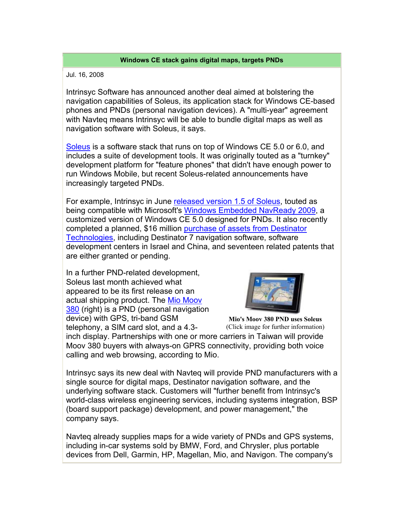## **Windows CE stack gains digital maps, targets PNDs**

## Jul. 16, 2008

Intrinsyc Software has announced another deal aimed at bolstering the navigation capabilities of Soleus, its application stack for Windows CE-based phones and PNDs (personal navigation devices). A "multi-year" agreement with Navteq means Intrinsyc will be able to bundle digital maps as well as navigation software with Soleus, it says.

Soleus is a software stack that runs on top of Windows CE 5.0 or 6.0, and includes a suite of development tools. It was originally touted as a "turnkey" development platform for "feature phones" that didn't have enough power to run Windows Mobile, but recent Soleus-related announcements have increasingly targeted PNDs.

For example, Intrinsyc in June released version 1.5 of Soleus, touted as being compatible with Microsoft's Windows Embedded NavReady 2009, a customized version of Windows CE 5.0 designed for PNDs. It also recently completed a planned, \$16 million purchase of assets from Destinator Technologies, including Destinator 7 navigation software, software development centers in Israel and China, and seventeen related patents that are either granted or pending.

In a further PND-related development, Soleus last month achieved what appeared to be its first release on an actual shipping product. The Mio Moov 380 (right) is a PND (personal navigation device) with GPS, tri-band GSM telephony, a SIM card slot, and a 4.3-



**Mio's Moov 380 PND uses Soleus** (Click image for further information)

inch display. Partnerships with one or more carriers in Taiwan will provide Moov 380 buyers with always-on GPRS connectivity, providing both voice calling and web browsing, according to Mio.

Intrinsyc says its new deal with Navteq will provide PND manufacturers with a single source for digital maps, Destinator navigation software, and the underlying software stack. Customers will "further benefit from Intrinsyc's world-class wireless engineering services, including systems integration, BSP (board support package) development, and power management," the company says.

Navteq already supplies maps for a wide variety of PNDs and GPS systems, including in-car systems sold by BMW, Ford, and Chrysler, plus portable devices from Dell, Garmin, HP, Magellan, Mio, and Navigon. The company's